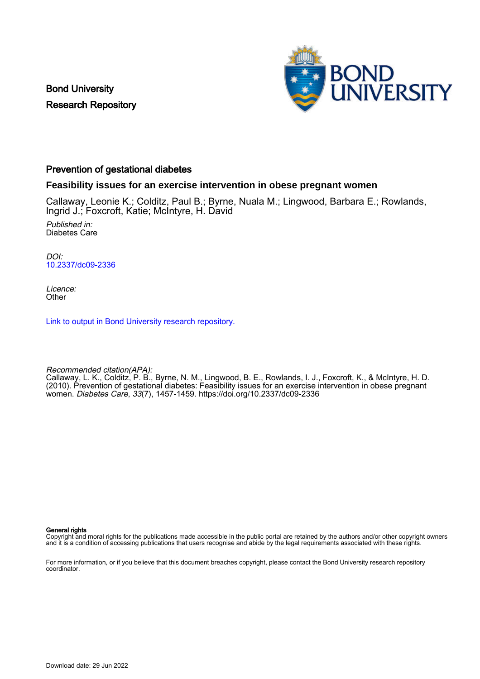Bond University Research Repository



#### Prevention of gestational diabetes

#### **Feasibility issues for an exercise intervention in obese pregnant women**

Callaway, Leonie K.; Colditz, Paul B.; Byrne, Nuala M.; Lingwood, Barbara E.; Rowlands, Ingrid J.; Foxcroft, Katie; McIntyre, H. David

Published in: Diabetes Care

DOI: [10.2337/dc09-2336](https://doi.org/10.2337/dc09-2336)

Licence: **Other** 

[Link to output in Bond University research repository.](https://research.bond.edu.au/en/publications/4abd8077-498a-4917-b4d6-1de6f064b57e)

Recommended citation(APA):

Callaway, L. K., Colditz, P. B., Byrne, N. M., Lingwood, B. E., Rowlands, I. J., Foxcroft, K., & McIntyre, H. D. (2010). Prevention of gestational diabetes: Feasibility issues for an exercise intervention in obese pregnant women. Diabetes Care, 33(7), 1457-1459.<https://doi.org/10.2337/dc09-2336>

General rights

Copyright and moral rights for the publications made accessible in the public portal are retained by the authors and/or other copyright owners and it is a condition of accessing publications that users recognise and abide by the legal requirements associated with these rights.

For more information, or if you believe that this document breaches copyright, please contact the Bond University research repository coordinator.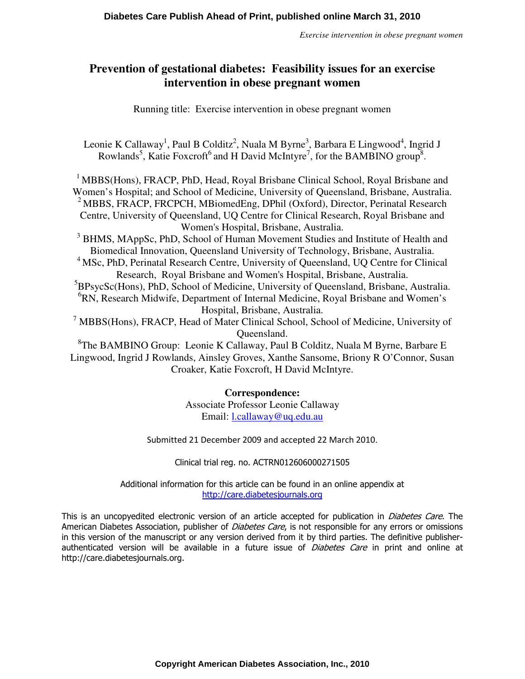*Exercise intervention in obese pregnant women*

# **Prevention of gestational diabetes: Feasibility issues for an exercise intervention in obese pregnant women**

Running title: Exercise intervention in obese pregnant women

Leonie K Callaway<sup>1</sup>, Paul B Colditz<sup>2</sup>, Nuala M Byrne<sup>3</sup>, Barbara E Lingwood<sup>4</sup>, Ingrid J Rowlands<sup>5</sup>, Katie Foxcroft<sup>6</sup> and H David McIntyre<sup>7</sup>, for the BAMBINO group<sup>8</sup>.

<sup>1</sup> MBBS(Hons), FRACP, PhD, Head, Royal Brisbane Clinical School, Royal Brisbane and Women's Hospital; and School of Medicine, University of Queensland, Brisbane, Australia. <sup>2</sup> MBBS, FRACP, FRCPCH, MBiomedEng, DPhil (Oxford), Director, Perinatal Research Centre, University of Queensland, UQ Centre for Clinical Research, Royal Brisbane and Women's Hospital, Brisbane, Australia.

<sup>3</sup> BHMS, MAppSc, PhD, School of Human Movement Studies and Institute of Health and Biomedical Innovation, Queensland University of Technology, Brisbane, Australia.

<sup>4</sup> MSc, PhD, Perinatal Research Centre, University of Queensland, UQ Centre for Clinical Research, Royal Brisbane and Women's Hospital, Brisbane, Australia.

<sup>5</sup>BPsycSc(Hons), PhD, School of Medicine, University of Queensland, Brisbane, Australia. <sup>6</sup>RN, Research Midwife, Department of Internal Medicine, Royal Brisbane and Women's Hospital, Brisbane, Australia.

<sup>7</sup> MBBS(Hons), FRACP, Head of Mater Clinical School, School of Medicine, University of Queensland.

<sup>8</sup>The BAMBINO Group: Leonie K Callaway, Paul B Colditz, Nuala M Byrne, Barbare E Lingwood, Ingrid J Rowlands, Ainsley Groves, Xanthe Sansome, Briony R O'Connor, Susan Croaker, Katie Foxcroft, H David McIntyre.

### **Correspondence:**

Associate Professor Leonie Callaway Email: l.callaway@uq.edu.au

Submitted 21 December 2009 and accepted 22 March 2010.

Clinical trial reg. no. ACTRN012606000271505

Additional information for this article can be found in an online appendix at http://care.diabetesjournals.org

This is an uncopyedited electronic version of an article accepted for publication in *Diabetes Care*. The American Diabetes Association, publisher of *Diabetes Care*, is not responsible for any errors or omissions in this version of the manuscript or any version derived from it by third parties. The definitive publisherauthenticated version will be available in a future issue of Diabetes Care in print and online at http://care.diabetesjournals.org.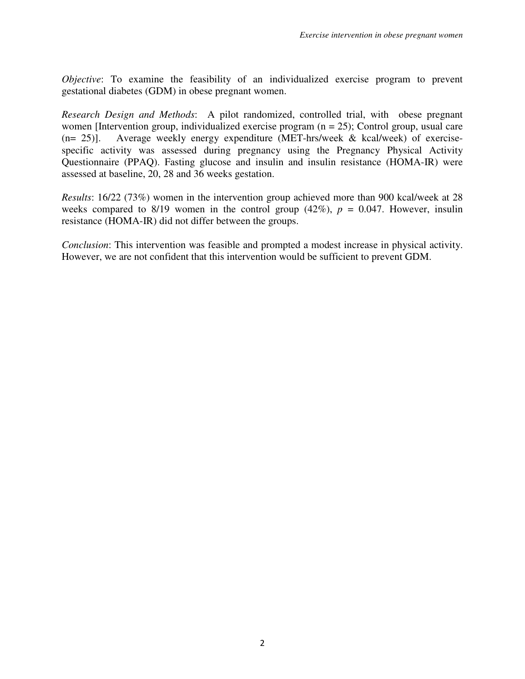*Objective*: To examine the feasibility of an individualized exercise program to prevent gestational diabetes (GDM) in obese pregnant women.

*Research Design and Methods*: A pilot randomized, controlled trial, with obese pregnant women [Intervention group, individualized exercise program  $(n = 25)$ ; Control group, usual care (n= 25)]. Average weekly energy expenditure (MET-hrs/week & kcal/week) of exercisespecific activity was assessed during pregnancy using the Pregnancy Physical Activity Questionnaire (PPAQ). Fasting glucose and insulin and insulin resistance (HOMA-IR) were assessed at baseline, 20, 28 and 36 weeks gestation.

*Results*: 16/22 (73%) women in the intervention group achieved more than 900 kcal/week at 28 weeks compared to  $8/19$  women in the control group  $(42\%)$ ,  $p = 0.047$ . However, insulin resistance (HOMA-IR) did not differ between the groups.

*Conclusion*: This intervention was feasible and prompted a modest increase in physical activity. However, we are not confident that this intervention would be sufficient to prevent GDM.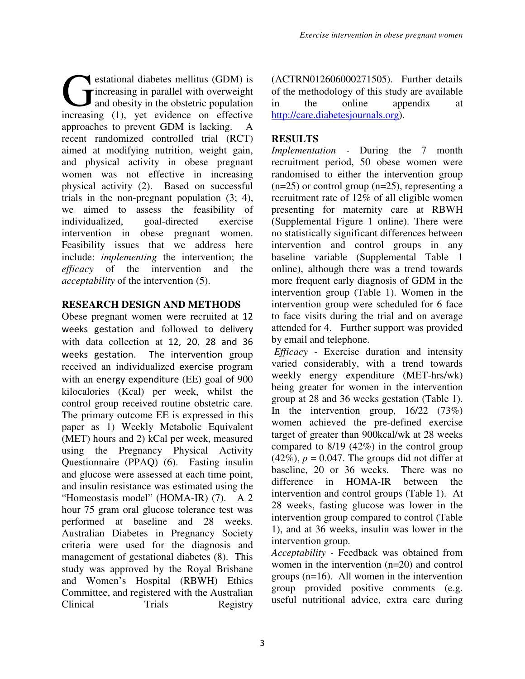estational diabetes mellitus (GDM) is increasing in parallel with overweight and obesity in the obstetric population **C** estational diabetes mellitus (GDM) is<br>
and obesity in the obstetric population<br>
increasing (1), yet evidence on effective approaches to prevent GDM is lacking. A recent randomized controlled trial (RCT) aimed at modifying nutrition, weight gain, and physical activity in obese pregnant women was not effective in increasing physical activity (2). Based on successful trials in the non-pregnant population (3; 4), we aimed to assess the feasibility of individualized, goal-directed exercise intervention in obese pregnant women. Feasibility issues that we address here include: *implementing* the intervention; the *efficacy* of the intervention and the *acceptability* of the intervention (5).

## **RESEARCH DESIGN AND METHODS**

Obese pregnant women were recruited at 12 weeks gestation and followed to delivery with data collection at 12, 20, 28 and 36 weeks gestation. The intervention group received an individualized exercise program with an energy expenditure (EE) goal of 900 kilocalories (Kcal) per week, whilst the control group received routine obstetric care. The primary outcome EE is expressed in this paper as 1) Weekly Metabolic Equivalent (MET) hours and 2) kCal per week, measured using the Pregnancy Physical Activity Questionnaire (PPAQ) (6). Fasting insulin and glucose were assessed at each time point, and insulin resistance was estimated using the "Homeostasis model" (HOMA-IR) (7). A 2 hour 75 gram oral glucose tolerance test was performed at baseline and 28 weeks. Australian Diabetes in Pregnancy Society criteria were used for the diagnosis and management of gestational diabetes (8). This study was approved by the Royal Brisbane and Women's Hospital (RBWH) Ethics Committee, and registered with the Australian Clinical Trials Registry (ACTRN012606000271505). Further details of the methodology of this study are available in the online appendix at http://care.diabetesjournals.org).

# **RESULTS**

*Implementation -* During the 7 month recruitment period, 50 obese women were randomised to either the intervention group  $(n=25)$  or control group  $(n=25)$ , representing a recruitment rate of 12% of all eligible women presenting for maternity care at RBWH (Supplemental Figure 1 online). There were no statistically significant differences between intervention and control groups in any baseline variable (Supplemental Table 1 online), although there was a trend towards more frequent early diagnosis of GDM in the intervention group (Table 1). Women in the intervention group were scheduled for 6 face to face visits during the trial and on average attended for 4. Further support was provided by email and telephone.

 *Efficacy -* Exercise duration and intensity varied considerably, with a trend towards weekly energy expenditure (MET-hrs/wk) being greater for women in the intervention group at 28 and 36 weeks gestation (Table 1). In the intervention group, 16/22 (73%) women achieved the pre-defined exercise target of greater than 900kcal/wk at 28 weeks compared to 8/19 (42%) in the control group  $(42\%)$ ,  $p = 0.047$ . The groups did not differ at baseline, 20 or 36 weeks. There was no difference in HOMA-IR between the intervention and control groups (Table 1). At 28 weeks, fasting glucose was lower in the intervention group compared to control (Table 1), and at 36 weeks, insulin was lower in the intervention group.

*Acceptability -* Feedback was obtained from women in the intervention (n=20) and control groups (n=16). All women in the intervention group provided positive comments (e.g. useful nutritional advice, extra care during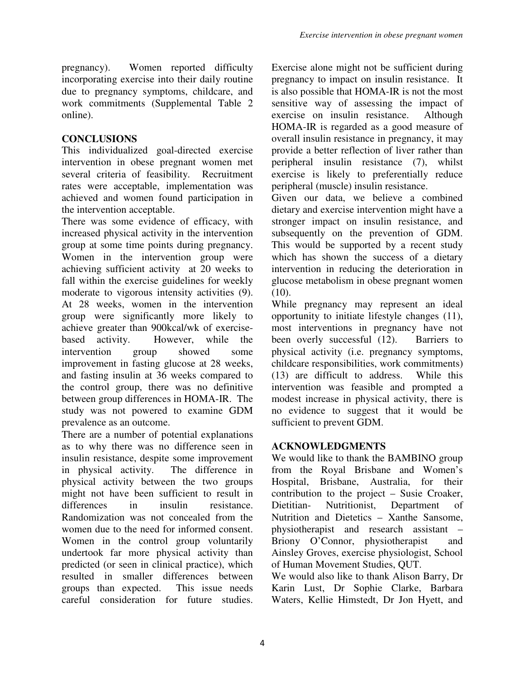pregnancy). Women reported difficulty incorporating exercise into their daily routine due to pregnancy symptoms, childcare, and work commitments (Supplemental Table 2 online).

## **CONCLUSIONS**

This individualized goal-directed exercise intervention in obese pregnant women met several criteria of feasibility. Recruitment rates were acceptable, implementation was achieved and women found participation in the intervention acceptable.

There was some evidence of efficacy, with increased physical activity in the intervention group at some time points during pregnancy. Women in the intervention group were achieving sufficient activity at 20 weeks to fall within the exercise guidelines for weekly moderate to vigorous intensity activities (9). At 28 weeks, women in the intervention group were significantly more likely to achieve greater than 900kcal/wk of exercisebased activity. However, while the intervention group showed some improvement in fasting glucose at 28 weeks, and fasting insulin at 36 weeks compared to the control group, there was no definitive between group differences in HOMA-IR. The study was not powered to examine GDM prevalence as an outcome.

There are a number of potential explanations as to why there was no difference seen in insulin resistance, despite some improvement in physical activity. The difference in physical activity between the two groups might not have been sufficient to result in differences in insulin resistance. Randomization was not concealed from the women due to the need for informed consent. Women in the control group voluntarily undertook far more physical activity than predicted (or seen in clinical practice), which resulted in smaller differences between groups than expected. This issue needs careful consideration for future studies. Exercise alone might not be sufficient during pregnancy to impact on insulin resistance. It is also possible that HOMA-IR is not the most sensitive way of assessing the impact of exercise on insulin resistance. Although HOMA-IR is regarded as a good measure of overall insulin resistance in pregnancy, it may provide a better reflection of liver rather than peripheral insulin resistance (7), whilst exercise is likely to preferentially reduce peripheral (muscle) insulin resistance.

Given our data, we believe a combined dietary and exercise intervention might have a stronger impact on insulin resistance, and subsequently on the prevention of GDM. This would be supported by a recent study which has shown the success of a dietary intervention in reducing the deterioration in glucose metabolism in obese pregnant women  $(10).$ 

While pregnancy may represent an ideal opportunity to initiate lifestyle changes (11), most interventions in pregnancy have not been overly successful (12). Barriers to physical activity (i.e. pregnancy symptoms, childcare responsibilities, work commitments) (13) are difficult to address. While this intervention was feasible and prompted a modest increase in physical activity, there is no evidence to suggest that it would be sufficient to prevent GDM.

# **ACKNOWLEDGMENTS**

We would like to thank the BAMBINO group from the Royal Brisbane and Women's Hospital, Brisbane, Australia, for their contribution to the project – Susie Croaker, Dietitian- Nutritionist, Department of Nutrition and Dietetics – Xanthe Sansome, physiotherapist and research assistant – Briony O'Connor, physiotherapist and Ainsley Groves, exercise physiologist, School of Human Movement Studies, QUT.

We would also like to thank Alison Barry, Dr Karin Lust, Dr Sophie Clarke, Barbara Waters, Kellie Himstedt, Dr Jon Hyett, and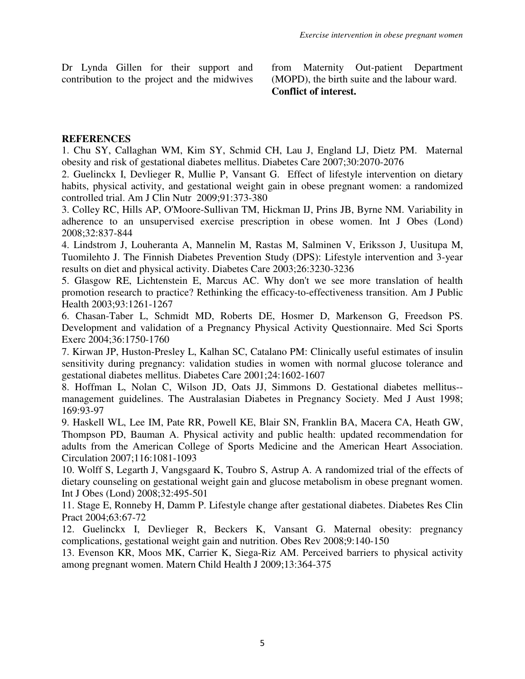Dr Lynda Gillen for their support and contribution to the project and the midwives from Maternity Out-patient Department (MOPD), the birth suite and the labour ward. **Conflict of interest.**

### **REFERENCES**

1. Chu SY, Callaghan WM, Kim SY, Schmid CH, Lau J, England LJ, Dietz PM. Maternal obesity and risk of gestational diabetes mellitus. Diabetes Care 2007;30:2070-2076

2. Guelinckx I, Devlieger R, Mullie P, Vansant G. Effect of lifestyle intervention on dietary habits, physical activity, and gestational weight gain in obese pregnant women: a randomized controlled trial. Am J Clin Nutr 2009;91:373-380

3. Colley RC, Hills AP, O'Moore-Sullivan TM, Hickman IJ, Prins JB, Byrne NM. Variability in adherence to an unsupervised exercise prescription in obese women. Int J Obes (Lond) 2008;32:837-844

4. Lindstrom J, Louheranta A, Mannelin M, Rastas M, Salminen V, Eriksson J, Uusitupa M, Tuomilehto J. The Finnish Diabetes Prevention Study (DPS): Lifestyle intervention and 3-year results on diet and physical activity. Diabetes Care 2003;26:3230-3236

5. Glasgow RE, Lichtenstein E, Marcus AC. Why don't we see more translation of health promotion research to practice? Rethinking the efficacy-to-effectiveness transition. Am J Public Health 2003;93:1261-1267

6. Chasan-Taber L, Schmidt MD, Roberts DE, Hosmer D, Markenson G, Freedson PS. Development and validation of a Pregnancy Physical Activity Questionnaire. Med Sci Sports Exerc 2004;36:1750-1760

7. Kirwan JP, Huston-Presley L, Kalhan SC, Catalano PM: Clinically useful estimates of insulin sensitivity during pregnancy: validation studies in women with normal glucose tolerance and gestational diabetes mellitus. Diabetes Care 2001;24:1602-1607

8. Hoffman L, Nolan C, Wilson JD, Oats JJ, Simmons D. Gestational diabetes mellitus- management guidelines. The Australasian Diabetes in Pregnancy Society. Med J Aust 1998; 169:93-97

9. Haskell WL, Lee IM, Pate RR, Powell KE, Blair SN, Franklin BA, Macera CA, Heath GW, Thompson PD, Bauman A. Physical activity and public health: updated recommendation for adults from the American College of Sports Medicine and the American Heart Association. Circulation 2007;116:1081-1093

10. Wolff S, Legarth J, Vangsgaard K, Toubro S, Astrup A. A randomized trial of the effects of dietary counseling on gestational weight gain and glucose metabolism in obese pregnant women. Int J Obes (Lond) 2008;32:495-501

11. Stage E, Ronneby H, Damm P. Lifestyle change after gestational diabetes. Diabetes Res Clin Pract 2004;63:67-72

12. Guelinckx I, Devlieger R, Beckers K, Vansant G. Maternal obesity: pregnancy complications, gestational weight gain and nutrition. Obes Rev 2008;9:140-150

13. Evenson KR, Moos MK, Carrier K, Siega-Riz AM. Perceived barriers to physical activity among pregnant women. Matern Child Health J 2009;13:364-375